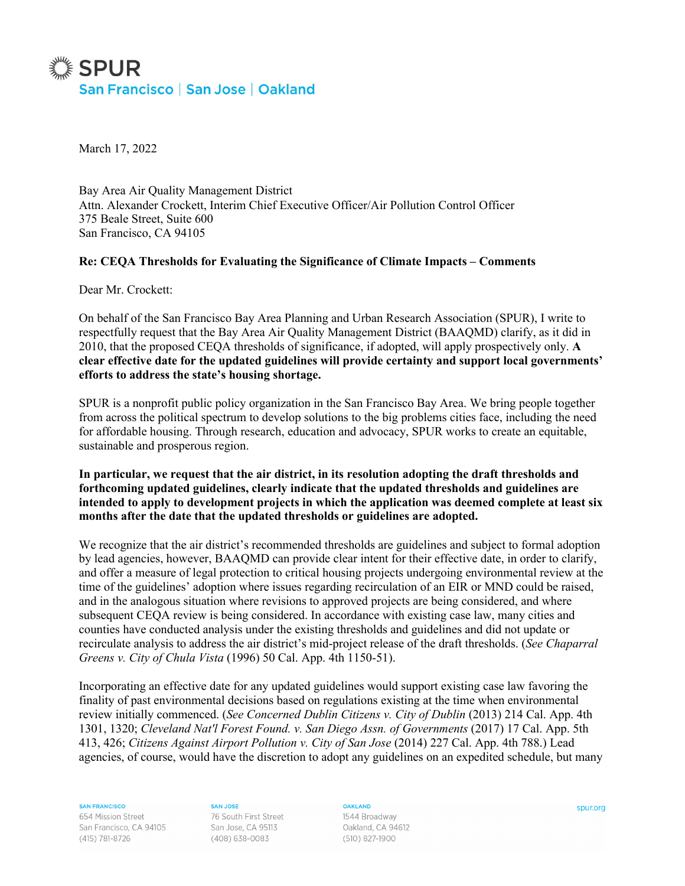

March 17, 2022

Bay Area Air Quality Management District Attn. Alexander Crockett, Interim Chief Executive Officer/Air Pollution Control Officer 375 Beale Street, Suite 600 San Francisco, CA 94105

## **Re: CEQA Thresholds for Evaluating the Significance of Climate Impacts – Comments**

Dear Mr. Crockett:

On behalf of the San Francisco Bay Area Planning and Urban Research Association (SPUR), I write to respectfully request that the Bay Area Air Quality Management District (BAAQMD) clarify, as it did in 2010, that the proposed CEQA thresholds of significance, if adopted, will apply prospectively only. **A clear effective date for the updated guidelines will provide certainty and support local governments' efforts to address the state's housing shortage.**

SPUR is a nonprofit public policy organization in the San Francisco Bay Area. We bring people together from across the political spectrum to develop solutions to the big problems cities face, including the need for affordable housing. Through research, education and advocacy, SPUR works to create an equitable, sustainable and prosperous region.

**In particular, we request that the air district, in its resolution adopting the draft thresholds and forthcoming updated guidelines, clearly indicate that the updated thresholds and guidelines are intended to apply to development projects in which the application was deemed complete at least six months after the date that the updated thresholds or guidelines are adopted.**

We recognize that the air district's recommended thresholds are guidelines and subject to formal adoption by lead agencies, however, BAAQMD can provide clear intent for their effective date, in order to clarify, and offer a measure of legal protection to critical housing projects undergoing environmental review at the time of the guidelines' adoption where issues regarding recirculation of an EIR or MND could be raised, and in the analogous situation where revisions to approved projects are being considered, and where subsequent CEQA review is being considered. In accordance with existing case law, many cities and counties have conducted analysis under the existing thresholds and guidelines and did not update or recirculate analysis to address the air district's mid-project release of the draft thresholds. (*See Chaparral Greens v. City of Chula Vista* (1996) 50 Cal. App. 4th 1150-51).

Incorporating an effective date for any updated guidelines would support existing case law favoring the finality of past environmental decisions based on regulations existing at the time when environmental review initially commenced. (*See Concerned Dublin Citizens v. City of Dublin* (2013) 214 Cal. App. 4th 1301, 1320; *Cleveland Nat'l Forest Found. v. San Diego Assn. of Governments* (2017) 17 Cal. App. 5th 413, 426; *Citizens Against Airport Pollution v. City of San Jose* (2014) 227 Cal. App. 4th 788.) Lead agencies, of course, would have the discretion to adopt any guidelines on an expedited schedule, but many

**SAN FRANCISCO** 

654 Mission Street San Francisco, CA 94105 (415) 781-8726

**SAN JOSE** 76 South First Street San Jose, CA 95113 (408) 638-0083

**OAKLAND** 1544 Broadway Oakland, CA 94612 (510) 827-1900

spur.org